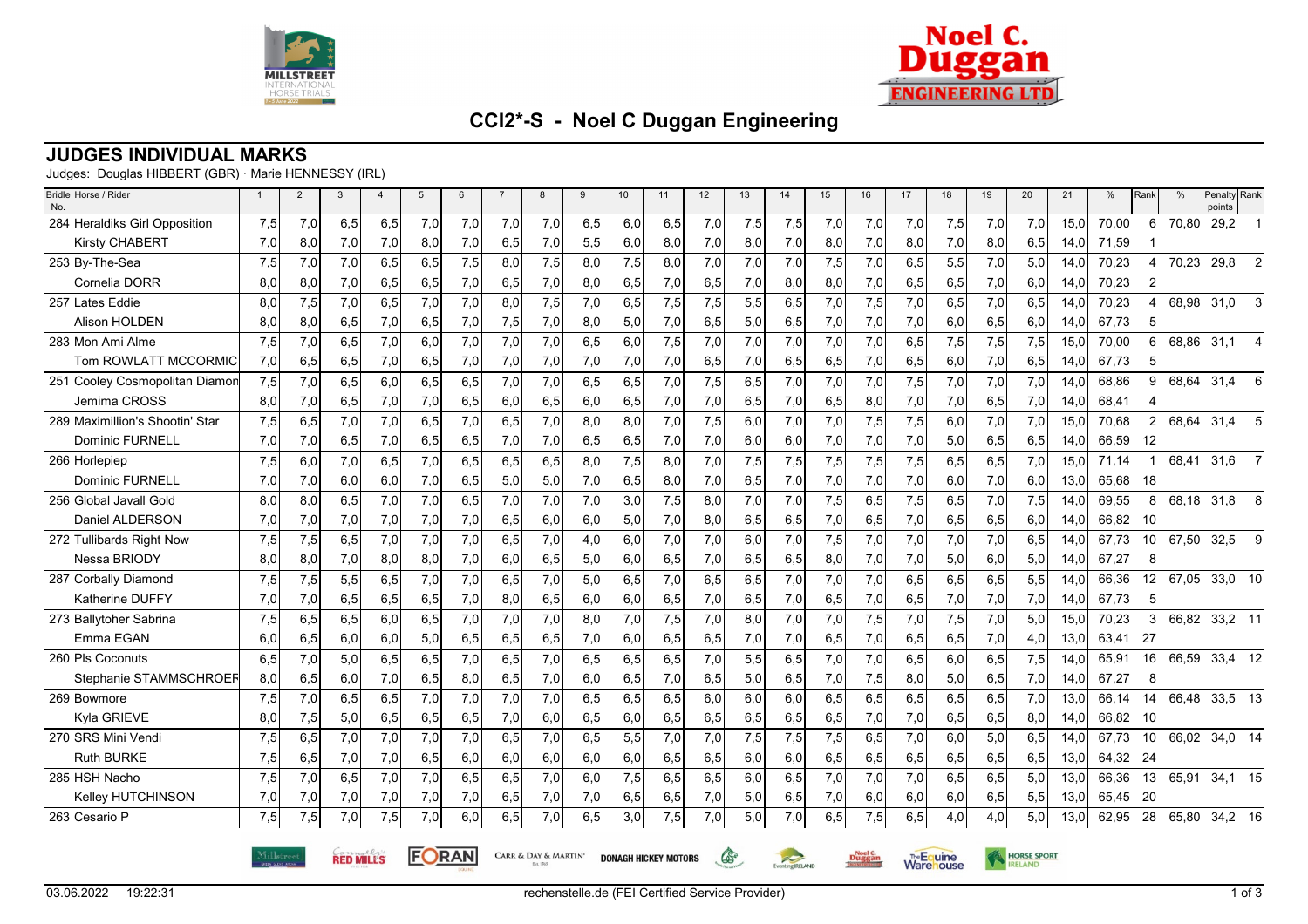



# **CCI2\*-S - Noel C Duggan Engineering**

### **JUDGES INDIVIDUAL MARKS**

Judges: Douglas HIBBERT (GBR) · Marie HENNESSY (IRL)

| Bridle Horse / Rider<br>No.     | $\mathbf{1}$                                      | 2   | 3   | $\overline{4}$ | $5\phantom{.0}$ | 6   | $\overline{7}$ | 8   | 9   | 10                          | 11  | 12  | 13                                                       | 14  | 15  | 16  | 17  | 18                 | 19   | 20  | 21   | %        | Rank                    | $\frac{0}{0}$ | Penalty Rank<br>points |                |
|---------------------------------|---------------------------------------------------|-----|-----|----------------|-----------------|-----|----------------|-----|-----|-----------------------------|-----|-----|----------------------------------------------------------|-----|-----|-----|-----|--------------------|------|-----|------|----------|-------------------------|---------------|------------------------|----------------|
| 284 Heraldiks Girl Opposition   | 7,5                                               | 7,0 | 6,5 | 6,5            | 7,0             | 7,0 | 7,0            | 7,0 | 6,5 | 6,0                         | 6,5 | 7,0 | 7,5                                                      | 7,5 | 7,0 | 7,0 | 7,0 | 7,5                | 7,0  | 7,0 | 15.0 | 70,00    | 6                       | 70,80         | 29,2                   |                |
| <b>Kirsty CHABERT</b>           | 7,0                                               | 8,0 | 7,0 | 7,0            | 8,0             | 7,0 | 6,5            | 7,0 | 5,5 | 6,0                         | 8,0 | 7,0 | 8,0                                                      | 7,0 | 8,0 | 7,0 | 8,0 | 7,0                | 8,0  | 6,5 | 14,0 | 71,59    |                         |               |                        |                |
| 253 By-The-Sea                  | 7,5                                               | 7,0 | 7,0 | 6,5            | 6.5             | 7,5 | 8,0            | 7,5 | 8,0 | 7,5                         | 8,0 | 7,0 | 7,0                                                      | 7,0 | 7,5 | 7,0 | 6,5 | 5,5                | 7,0  | 5,0 | 14,0 | 70,23    | 4                       | 70,23         | 29,8                   | 2              |
| Cornelia DORR                   | 8,0                                               | 8,0 | 7,0 | 6,5            | 6,5             | 7,0 | 6,5            | 7,0 | 8,0 | 6,5                         | 7,0 | 6,5 | 7,0                                                      | 8,0 | 8,0 | 7,0 | 6,5 | 6,5                | 7,0  | 6,0 | 14,0 | 70,23    | $\overline{\mathbf{c}}$ |               |                        |                |
| 257 Lates Eddie                 | 8,0                                               | 7,5 | 7,0 | 6,5            | 7.0             | 7.0 | 8.0            | 7,5 | 7,0 | 6,5                         | 7.5 | 7.5 | 5,5                                                      | 6.5 | 7,0 | 7,5 | 7,0 | 6,5                | 7.0  | 6,5 | 14.0 | 70,23    | 4                       | 68.98         | 31,0                   | 3              |
| <b>Alison HOLDEN</b>            | 8,0                                               | 8,0 | 6,5 | 7,0            | 6,5             | 7,0 | 7,5            | 7,0 | 8,0 | 5,0                         | 7,0 | 6,5 | 5,0                                                      | 6,5 | 7,0 | 7,0 | 7,0 | 6,0                | 6,5  | 6,0 | 14,0 | 67,73    | 5                       |               |                        |                |
| 283 Mon Ami Alme                | 7,5                                               | 7,0 | 6,5 | 7,0            | 6,0             | 7,0 | 7,0            | 7,0 | 6,5 | 6,0                         | 7,5 | 7,0 | 7,0                                                      | 7,0 | 7,0 | 7,0 | 6,5 | 7,5                | 7,5  | 7,5 | 15,0 | 70,00    | 6                       | 68,86         | 31,1                   | 4              |
| Tom ROWLATT MCCORMIC            | 7,0                                               | 6,5 | 6,5 | 7,0            | 6,5             | 7,0 | 7,0            | 7,0 | 7,0 | 7,0                         | 7,0 | 6,5 | 7,0                                                      | 6,5 | 6,5 | 7,0 | 6,5 | 6,0                | 7,0  | 6,5 | 14,0 | 67,73    | 5                       |               |                        |                |
| 251 Cooley Cosmopolitan Diamor  | 7,5                                               | 7,0 | 6,5 | 6,0            | 6,5             | 6,5 | 7,0            | 7,0 | 6,5 | 6,5                         | 7,0 | 7,5 | 6,5                                                      | 7,0 | 7,0 | 7,0 | 7,5 | 7,0                | 7,0  | 7,0 | 14,0 | 68,86    | 9                       |               | 68,64 31,4             | 6              |
| Jemima CROSS                    | 8,0                                               | 7,0 | 6,5 | 7,0            | 7,0             | 6,5 | 6,0            | 6,5 | 6,0 | 6,5                         | 7,0 | 7,0 | 6,5                                                      | 7,0 | 6,5 | 8,0 | 7,0 | 7,0                | 6,5  | 7,0 | 14,0 | 68,41    | 4                       |               |                        |                |
| 289 Maximillion's Shootin' Star | 7,5                                               | 6,5 | 7,0 | 7,0            | 6,5             | 7,0 | 6,5            | 7,0 | 8,0 | 8,0                         | 7,0 | 7,5 | 6,0                                                      | 7,0 | 7,0 | 7,5 | 7,5 | 6,0                | 7,0  | 7,0 | 15,0 | 70,68    | $\overline{2}$          | 68,64         | 31,4                   | 5              |
| <b>Dominic FURNELL</b>          | 7,0                                               | 7,0 | 6,5 | 7,0            | 6,5             | 6,5 | 7,0            | 7,0 | 6,5 | 6,5                         | 7,0 | 7,0 | 6,0                                                      | 6,0 | 7,0 | 7,0 | 7,0 | 5,0                | 6,5  | 6,5 | 14,0 | 66,59    | -12                     |               |                        |                |
| 266 Horlepiep                   | 7,5                                               | 6,0 | 7,0 | 6,5            | 7,0             | 6,5 | 6,5            | 6,5 | 8,0 | 7,5                         | 8,0 | 7,0 | 7,5                                                      | 7,5 | 7,5 | 7,5 | 7,5 | 6,5                | 6,5  | 7,0 | 15,0 | 71,14    | -1                      | 68,41         | 31,6                   | $\overline{7}$ |
| <b>Dominic FURNELL</b>          | 7,0                                               | 7,0 | 6,0 | 6,0            | 7,0             | 6,5 | 5,0            | 5,0 | 7,0 | 6,5                         | 8,0 | 7,0 | 6,5                                                      | 7,0 | 7,0 | 7,0 | 7,0 | 6,0                | 7,0  | 6,0 | 13,0 | 65,68    | - 18                    |               |                        |                |
| 256 Global Javall Gold          | 8,0                                               | 8,0 | 6,5 | 7,0            | 7,0             | 6,5 | 7,0            | 7,0 | 7,0 | 3,0                         | 7,5 | 8,0 | 7,0                                                      | 7,0 | 7,5 | 6,5 | 7,5 | 6,5                | 7,0  | 7,5 | 14,0 | 69,55    | 8                       |               | 68,18 31,8             | 8              |
| Daniel ALDERSON                 | 7,0                                               | 7,0 | 7,0 | 7,0            | 7,0             | 7,0 | 6,5            | 6,0 | 6,0 | 5,0                         | 7,0 | 8,0 | 6,5                                                      | 6,5 | 7,0 | 6,5 | 7,0 | 6,5                | 6,5  | 6,0 | 14,0 | 66,82 10 |                         |               |                        |                |
| 272 Tullibards Right Now        | 7,5                                               | 7,5 | 6,5 | 7,0            | 7,0             | 7,0 | 6,5            | 7,0 | 4,0 | 6,0                         | 7,0 | 7,0 | 6,0                                                      | 7,0 | 7,5 | 7,0 | 7,0 | 7,0                | 7,0  | 6,5 | 14,0 | 67,73    | 10 <sup>°</sup>         | 67,50         | 32,5                   | 9              |
| Nessa BRIODY                    | 8,0                                               | 8,0 | 7,0 | 8,0            | 8,0             | 7,0 | 6,0            | 6,5 | 5,0 | 6,0                         | 6,5 | 7,0 | 6,5                                                      | 6,5 | 8,0 | 7,0 | 7,0 | 5,0                | 6,0  | 5,0 | 14,0 | 67,27    | 8                       |               |                        |                |
| 287 Corbally Diamond            | 7,5                                               | 7,5 | 5,5 | 6,5            | 7,0             | 7,0 | 6,5            | 7,0 | 5,0 | 6,5                         | 7,0 | 6,5 | 6,5                                                      | 7,0 | 7,0 | 7,0 | 6,5 | 6,5                | 6,5  | 5,5 | 14,0 | 66,36    | 12                      | 67,05         | 33,0 10                |                |
| <b>Katherine DUFFY</b>          | 7,0                                               | 7,0 | 6,5 | 6,5            | 6,5             | 7,0 | 8,0            | 6,5 | 6,0 | 6,0                         | 6,5 | 7,0 | 6,5                                                      | 7,0 | 6,5 | 7,0 | 6,5 | 7,0                | 7,0  | 7,0 | 14,0 | 67,73    | 5                       |               |                        |                |
| 273 Ballytoher Sabrina          | 7,5                                               | 6,5 | 6,5 | 6,0            | 6,5             | 7,0 | 7,0            | 7,0 | 8,0 | 7,0                         | 7,5 | 7,0 | 8,0                                                      | 7,0 | 7,0 | 7,5 | 7,0 | 7,5                | 7,0  | 5,0 | 15,0 | 70,23    | 3                       |               | 66,82 33,2 11          |                |
| Emma EGAN                       | 6,0                                               | 6,5 | 6,0 | 6,0            | 5,0             | 6,5 | 6,5            | 6,5 | 7,0 | 6,0                         | 6,5 | 6,5 | 7,0                                                      | 7,0 | 6,5 | 7,0 | 6,5 | 6,5                | 7,0  | 4,0 | 13,0 | 63,41    | -27                     |               |                        |                |
| 260 Pls Coconuts                | 6,5                                               | 7,0 | 5,0 | 6,5            | 6,5             | 7,0 | 6,5            | 7,0 | 6,5 | 6,5                         | 6,5 | 7,0 | 5,5                                                      | 6,5 | 7,0 | 7,0 | 6,5 | 6,0                | 6,5  | 7,5 | 14,0 | 65,91    | 16                      | 66,59         | 33,4 12                |                |
| Stephanie STAMMSCHROEF          | 8,0                                               | 6,5 | 6,0 | 7,0            | 6,5             | 8,0 | 6,5            | 7,0 | 6,0 | 6,5                         | 7,0 | 6,5 | 5,0                                                      | 6,5 | 7,0 | 7,5 | 8,0 | 5,0                | 6,5  | 7,0 | 14,0 | 67,27    | 8                       |               |                        |                |
| 269 Bowmore                     | 7,5                                               | 7,0 | 6,5 | 6,5            | 7,0             | 7,0 | 7,0            | 7,0 | 6,5 | 6,5                         | 6,5 | 6,0 | 6,0                                                      | 6,0 | 6,5 | 6,5 | 6,5 | 6,5                | 6,5  | 7,0 | 13,0 | 66,14    | 14                      | 66,48         | 33,5 13                |                |
| Kyla GRIEVE                     | 8,0                                               | 7,5 | 5,0 | 6, 5           | 6,5             | 6,5 | 7,0            | 6,0 | 6,5 | 6,0                         | 6,5 | 6,5 | 6, 5                                                     | 6,5 | 6,5 | 7,0 | 7,0 | 6,5                | 6, 5 | 8,0 | 14,0 | 66,82 10 |                         |               |                        |                |
| 270 SRS Mini Vendi              | 7,5                                               | 6,5 | 7,0 | 7,0            | 7,0             | 7,0 | 6,5            | 7,0 | 6,5 | 5,5                         | 7,0 | 7,0 | 7,5                                                      | 7,5 | 7,5 | 6,5 | 7,0 | 6,0                | 5,0  | 6,5 | 14,0 | 67,73    | 10                      | 66,02         | 34,0 14                |                |
| <b>Ruth BURKE</b>               | 7,5                                               | 6,5 | 7,0 | 7,0            | 6,5             | 6,0 | 6,0            | 6,0 | 6,0 | 6,0                         | 6,5 | 6,5 | 6,0                                                      | 6,0 | 6,5 | 6,5 | 6,5 | 6,5                | 6,5  | 6,5 | 13,0 | 64,32 24 |                         |               |                        |                |
| 285 HSH Nacho                   | 7,5                                               | 7,0 | 6,5 | 7,0            | 7,0             | 6,5 | 6,5            | 7,0 | 6,0 | 7,5                         | 6,5 | 6,5 | 6,0                                                      | 6,5 | 7,0 | 7,0 | 7,0 | 6,5                | 6,5  | 5,0 | 13,0 | 66,36    |                         | 13 65,91      | 34,1 15                |                |
| <b>Kelley HUTCHINSON</b>        | 7,0                                               | 7,0 | 7,0 | 7,0            | 7,0             | 7,0 | 6,5            | 7,0 | 7,0 | 6,5                         | 6,5 | 7,0 | 5,0                                                      | 6,5 | 7,0 | 6,0 | 6,0 | 6,0                | 6,5  | 5,5 | 13,0 | 65,45    | - 20                    |               |                        |                |
| 263 Cesario P                   | 7,5                                               | 7,5 | 7,0 | 7,5            | 7,0             | 6,0 | 6,5            | 7,0 | 6,5 | 3,0                         | 7,5 | 7,0 | 5,0                                                      | 7,0 | 6,5 | 7,5 | 6,5 | 4,0                | 4,0  | 5,0 | 13,0 | 62,95    | 28                      | 65,80         | 34,2 16                |                |
|                                 | FORAN<br>CARR & DAY & MARTIN'<br><b>RED MILLS</b> |     |     |                |                 |     |                |     |     | <b>DONAGH HICKEY MOTORS</b> |     | డి  | The Equine<br><b>Ware</b> louse<br>venting <b>RFLAND</b> |     |     |     |     | <b>HORSE SPORT</b> |      |     |      |          |                         |               |                        |                |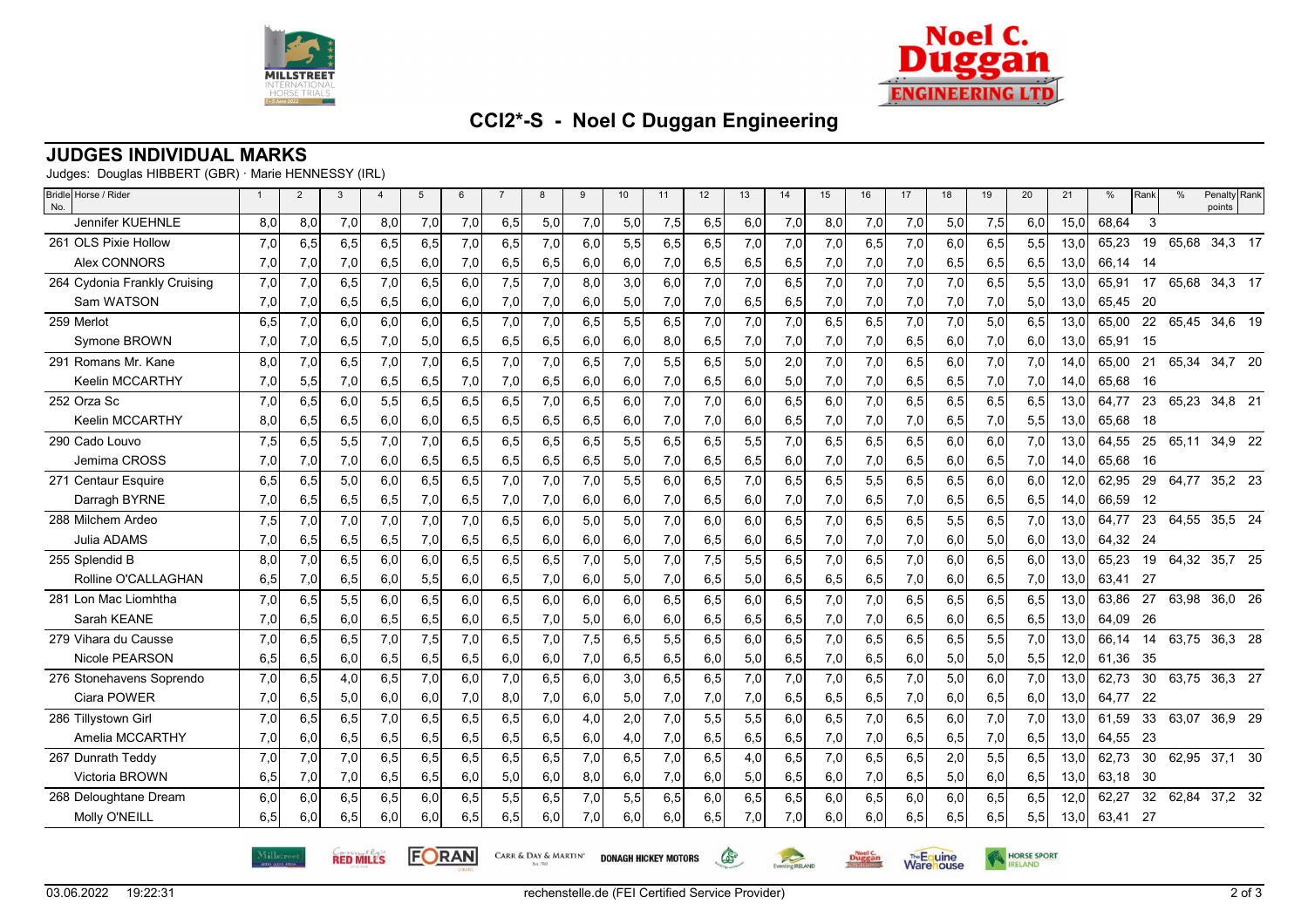



HORSE SPORT

**Warehouse** 

## **CCI2\*-S - Noel C Duggan Engineering**

#### **JUDGES INDIVIDUAL MARKS**

Judges: Douglas HIBBERT (GBR) · Marie HENNESSY (IRL)

| Bridle Horse / Rider<br>No.  | $\mathbf{1}$ | $\overline{2}$ | 3   | $\overline{4}$ | 5   | 6   | $\overline{7}$ | 8   | 9    | 10  | 11  | 12  | 13  | 14  | 15  | 16  | 17  | 18  | 19  | 20  | 21   | %        | Rank | $\%$  | Penalty Rank<br>points |  |
|------------------------------|--------------|----------------|-----|----------------|-----|-----|----------------|-----|------|-----|-----|-----|-----|-----|-----|-----|-----|-----|-----|-----|------|----------|------|-------|------------------------|--|
| <b>Jennifer KUEHNLE</b>      | 8,0          | 8,0            | 7,0 | 8,0            | 7,0 | 7,0 | 6,5            | 5,0 | 7,0  | 5,0 | 7,5 | 6,5 | 6,0 | 7,0 | 8,0 | 7,0 | 7,0 | 5,0 | 7,5 | 6,0 | 15,0 | 68,64    | 3    |       |                        |  |
| 261 OLS Pixie Hollow         | 7,0          | 6,5            | 6,5 | 6,5            | 6,5 | 7,0 | 6,5            | 7,0 | 6,0  | 5,5 | 6,5 | 6,5 | 7,0 | 7,0 | 7,0 | 6,5 | 7,0 | 6,0 | 6,5 | 5,5 | 13,0 | 65,23    | 19   | 65,68 | 34,3 17                |  |
| Alex CONNORS                 | 7,0          | 7,0            | 7,0 | 6,5            | 6,0 | 7,0 | 6,5            | 6,5 | 6,0  | 6,0 | 7,0 | 6,5 | 6,5 | 6,5 | 7,0 | 7,0 | 7,0 | 6,5 | 6,5 | 6,5 | 13,0 | 66,14    | - 14 |       |                        |  |
| 264 Cydonia Frankly Cruising | 7,0          | 7,0            | 6,5 | 7,0            | 6,5 | 6,0 | 7,5            | 7,0 | 8,0  | 3,0 | 6,0 | 7,0 | 7,0 | 6,5 | 7,0 | 7,0 | 7,0 | 7,0 | 6,5 | 5,5 | 13.0 | 65,91    | 17   | 65,68 | 34,3 17                |  |
| Sam WATSON                   | 7,0          | 7,0            | 6,5 | 6,5            | 6,0 | 6,0 | 7,0            | 7,0 | 6,0  | 5,0 | 7,0 | 7,0 | 6,5 | 6,5 | 7,0 | 7,0 | 7,0 | 7,0 | 7,0 | 5,0 | 13,0 | 65,45    | -20  |       |                        |  |
| 259 Merlot                   | 6.5          | 7.0            | 6.0 | 6.0            | 6,0 | 6,5 | 7,0            | 7.0 | 6.5  | 5,5 | 6,5 | 7.0 | 7.0 | 7.0 | 6,5 | 6,5 | 7,0 | 7,0 | 5,0 | 6.5 | 13.0 | 65.00    | 22   | 65.45 | 34,6 19                |  |
| Symone BROWN                 | 7,0          | 7,0            | 6,5 | 7,0            | 5,0 | 6,5 | 6,5            | 6,5 | 6,0  | 6,0 | 8,0 | 6,5 | 7,0 | 7,0 | 7,0 | 7,0 | 6,5 | 6,0 | 7,0 | 6,0 | 13,0 | 65.91    | - 15 |       |                        |  |
| 291 Romans Mr. Kane          | 8.0          | 7,0            | 6,5 | 7,0            | 7,0 | 6,5 | 7,0            | 7,0 | 6, 5 | 7,0 | 5,5 | 6,5 | 5,0 | 2,0 | 7,0 | 7,0 | 6,5 | 6,0 | 7,0 | 7,0 | 14.0 | 65,00    | 21   | 65,34 | 34,7 20                |  |
| Keelin MCCARTHY              | 7,0          | 5,5            | 7,0 | 6,5            | 6,5 | 7,0 | 7,0            | 6,5 | 6,0  | 6,0 | 7,0 | 6,5 | 6,0 | 5,0 | 7,0 | 7,0 | 6,5 | 6,5 | 7,0 | 7,0 | 14,0 | 65,68    | 16   |       |                        |  |
| 252 Orza Sc                  | 7,0          | 6.5            | 6,0 | 5,5            | 6,5 | 6,5 | 6,5            | 7.0 | 6,5  | 6,0 | 7,0 | 7,0 | 6,0 | 6,5 | 6,0 | 7,0 | 6,5 | 6,5 | 6,5 | 6,5 | 13,0 | 64.77    | 23   | 65,23 | 34,8 21                |  |
| <b>Keelin MCCARTHY</b>       | 8,0          | 6,5            | 6,5 | 6,0            | 6,0 | 6,5 | 6,5            | 6,5 | 6,5  | 6,0 | 7,0 | 7,0 | 6,0 | 6,5 | 7,0 | 7,0 | 7,0 | 6,5 | 7,0 | 5,5 | 13,0 | 65,68    | - 18 |       |                        |  |
| 290 Cado Louvo               | 7,5          | 6.5            | 5,5 | 7,0            | 7,0 | 6,5 | 6,5            | 6,5 | 6,5  | 5,5 | 6,5 | 6,5 | 5,5 | 7,0 | 6,5 | 6,5 | 6,5 | 6,0 | 6,0 | 7,0 | 13,0 | 64,55    | 25   | 65,11 | 34,9 22                |  |
| Jemima CROSS                 | 7,0          | 7,0            | 7,0 | 6,0            | 6,5 | 6,5 | 6,5            | 6,5 | 6,5  | 5,0 | 7,0 | 6,5 | 6,5 | 6,0 | 7,0 | 7,0 | 6,5 | 6,0 | 6,5 | 7,0 | 14,0 | 65,68    | 16   |       |                        |  |
| 271 Centaur Esquire          | 6,5          | 6,5            | 5,0 | 6,0            | 6,5 | 6,5 | 7,0            | 7.0 | 7,0  | 5,5 | 6,0 | 6,5 | 7,0 | 6,5 | 6,5 | 5,5 | 6,5 | 6,5 | 6,0 | 6,0 | 12,0 | 62,95    | 29   | 64,77 | 35,2 23                |  |
| Darragh BYRNE                | 7,0          | 6,5            | 6,5 | 6,5            | 7,0 | 6,5 | 7,0            | 7,0 | 6,0  | 6,0 | 7,0 | 6,5 | 6,0 | 7,0 | 7,0 | 6,5 | 7,0 | 6,5 | 6,5 | 6,5 | 14,0 | 66,59    | 12   |       |                        |  |
| 288 Milchem Ardeo            | 7,5          | 7,0            | 7,0 | 7,0            | 7,0 | 7,0 | 6,5            | 6.0 | 5,0  | 5,0 | 7,0 | 6.0 | 6,0 | 6.5 | 7,0 | 6,5 | 6,5 | 5,5 | 6,5 | 7,0 | 13.0 | 64.77    | 23   | 64,55 | 35,5 24                |  |
| Julia ADAMS                  | 7,0          | 6,5            | 6,5 | 6,5            | 7,0 | 6,5 | 6,5            | 6,0 | 6,0  | 6,0 | 7,0 | 6,5 | 6,0 | 6,5 | 7,0 | 7,0 | 7,0 | 6,0 | 5,0 | 6,0 | 13,0 | 64,32 24 |      |       |                        |  |
| 255 Splendid B               | 8.0          | 7.0            | 6,5 | 6,0            | 6,0 | 6,5 | 6,5            | 6,5 | 7,0  | 5,0 | 7,0 | 7,5 | 5,5 | 6,5 | 7,0 | 6,5 | 7,0 | 6,0 | 6,5 | 6,0 | 13,0 | 65,23    | 19   | 64,32 | 35,7 25                |  |
| Rolline O'CALLAGHAN          | 6,5          | 7,0            | 6,5 | 6,0            | 5,5 | 6,0 | 6,5            | 7,0 | 6,0  | 5,0 | 7,0 | 6,5 | 5,0 | 6,5 | 6,5 | 6,5 | 7,0 | 6,0 | 6,5 | 7,0 | 13,0 | 63.41    | - 27 |       |                        |  |
| 281 Lon Mac Liomhtha         | 7,0          | 6,5            | 5,5 | 6,0            | 6,5 | 6,0 | 6,5            | 6,0 | 6,0  | 6,0 | 6,5 | 6,5 | 6,0 | 6,5 | 7,0 | 7,0 | 6,5 | 6,5 | 6,5 | 6,5 | 13,0 | 63,86    | 27   | 63,98 | 36,0 26                |  |
| Sarah KEANE                  | 7,0          | 6,5            | 6,0 | 6,5            | 6,5 | 6,0 | 6,5            | 7,0 | 5,0  | 6,0 | 6,0 | 6,5 | 6,5 | 6,5 | 7,0 | 7,0 | 6,5 | 6,0 | 6,5 | 6,5 | 13,0 | 64,09    | -26  |       |                        |  |
| 279 Vihara du Causse         | 7,0          | 6,5            | 6,5 | 7,0            | 7,5 | 7,0 | 6,5            | 7,0 | 7,5  | 6,5 | 5,5 | 6,5 | 6,0 | 6,5 | 7,0 | 6,5 | 6,5 | 6,5 | 5,5 | 7,0 | 13,0 | 66,14    | 14   | 63,75 | 36,3 28                |  |
| <b>Nicole PEARSON</b>        | 6,5          | 6,5            | 6,0 | 6,5            | 6,5 | 6,5 | 6,0            | 6,0 | 7,0  | 6,5 | 6,5 | 6,0 | 5,0 | 6,5 | 7,0 | 6,5 | 6,0 | 5,0 | 5,0 | 5,5 | 12,0 | 61,36    | -35  |       |                        |  |
| 276 Stonehavens Soprendo     | 7,0          | 6.5            | 4,0 | 6,5            | 7,0 | 6,0 | 7,0            | 6,5 | 6,0  | 3,0 | 6,5 | 6,5 | 7,0 | 7.0 | 7,0 | 6,5 | 7,0 | 5,0 | 6,0 | 7.0 | 13.0 | 62,73    | 30   | 63,75 | 36,3 27                |  |
| Ciara POWER                  | 7,0          | 6,5            | 5,0 | 6,0            | 6,0 | 7,0 | 8,0            | 7,0 | 6,0  | 5,0 | 7,0 | 7,0 | 7,0 | 6,5 | 6,5 | 6,5 | 7,0 | 6,0 | 6,5 | 6,0 | 13,0 | 64,77    | 22   |       |                        |  |
| 286 Tillvstown Girl          | 7,0          | 6.5            | 6,5 | 7,0            | 6,5 | 6,5 | 6,5            | 6,0 | 4,0  | 2,0 | 7,0 | 5,5 | 5,5 | 6,0 | 6,5 | 7,0 | 6,5 | 6,0 | 7,0 | 7,0 | 13,0 | 61,59    | 33   | 63,07 | 36,9 29                |  |
| Amelia MCCARTHY              | 7,0          | 6,0            | 6,5 | 6,5            | 6,5 | 6,5 | 6,5            | 6,5 | 6,0  | 4,0 | 7,0 | 6,5 | 6,5 | 6,5 | 7,0 | 7,0 | 6,5 | 6,5 | 7,0 | 6,5 | 13,0 | 64,55    | -23  |       |                        |  |
| 267 Dunrath Teddy            | 7,0          | 7.0            | 7,0 | 6.5            | 6,5 | 6,5 | 6,5            | 6,5 | 7,0  | 6,5 | 7,0 | 6,5 | 4,0 | 6.5 | 7,0 | 6,5 | 6,5 | 2,0 | 5,5 | 6,5 | 13.0 | 62,73    | 30   | 62,95 | 37,1 30                |  |
| Victoria BROWN               | 6,5          | 7,0            | 7,0 | 6,5            | 6,5 | 6,0 | 5,0            | 6,0 | 8,0  | 6,0 | 7,0 | 6,0 | 5,0 | 6,5 | 6,0 | 7,0 | 6,5 | 5,0 | 6,0 | 6,5 | 13,0 | 63,18    | -30  |       |                        |  |
| 268 Deloughtane Dream        | 6,0          | 6.0            | 6,5 | 6,5            | 6,0 | 6,5 | 5,5            | 6,5 | 7,0  | 5,5 | 6,5 | 6,0 | 6,5 | 6,5 | 6,0 | 6,5 | 6,0 | 6,0 | 6,5 | 6,5 | 12,0 | 62,27    | 32   | 62,84 | 37,2 32                |  |
| Molly O'NEILL                | 6,5          | 6,0            | 6,5 | 6,0            | 6,0 | 6,5 | 6,5            | 6,0 | 7,0  | 6,0 | 6,0 | 6,5 | 7,0 | 7,0 | 6,0 | 6,0 | 6,5 | 6,5 | 6,5 | 5,5 | 13,0 | 63,41    | 27   |       |                        |  |

03.06.2022 19:22:31

 $\mathbb{G}$ 

Eventing RELAND

**Dugga** 

CARR & DAY & MARTIN' DONAGH HICKEY MOTORS

**FORAN** 

**RED MILLS**